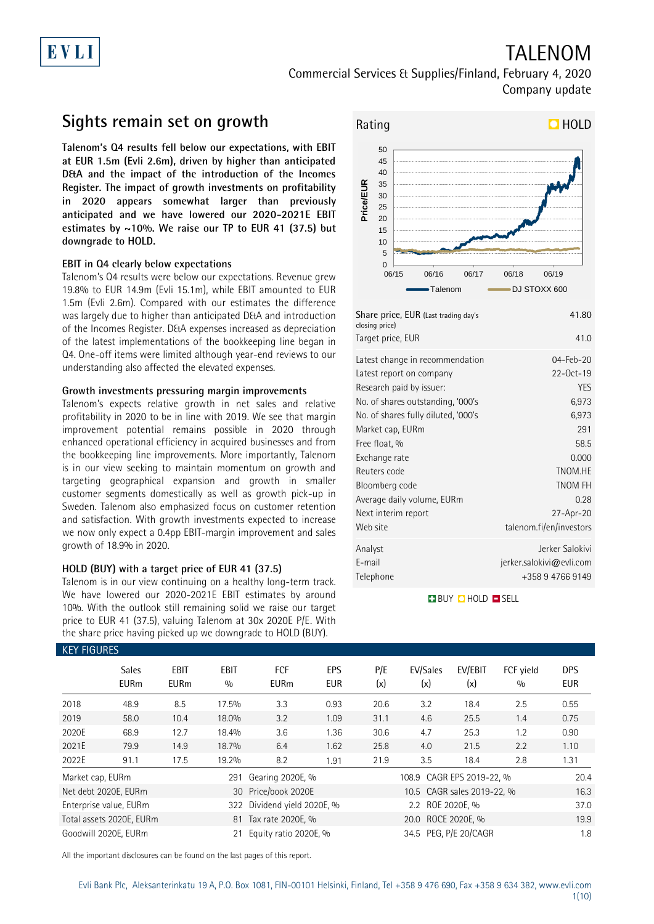# EVLI

# TALENOM

Commercial Services & Supplies/Finland, February 4, 2020 Company update

## **Sights remain set on growth**

**Talenom's Q4 results fell below our expectations, with EBIT at EUR 1.5m (Evli 2.6m), driven by higher than anticipated D&A and the impact of the introduction of the Incomes Register. The impact of growth investments on profitability in 2020 appears somewhat larger than previously anticipated and we have lowered our 2020-2021E EBIT estimates by ~10%. We raise our TP to EUR 41 (37.5) but downgrade to HOLD.**

### **EBIT in Q4 clearly below expectations**

Talenom's Q4 results were below our expectations. Revenue grew 19.8% to EUR 14.9m (Evli 15.1m), while EBIT amounted to EUR 1.5m (Evli 2.6m). Compared with our estimates the difference was largely due to higher than anticipated D&A and introduction of the Incomes Register. D&A expenses increased as depreciation of the latest implementations of the bookkeeping line began in Q4. One-off items were limited although year-end reviews to our understanding also affected the elevated expenses.

### **Growth investments pressuring margin improvements**

Talenom's expects relative growth in net sales and relative profitability in 2020 to be in line with 2019. We see that margin improvement potential remains possible in 2020 through enhanced operational efficiency in acquired businesses and from the bookkeeping line improvements. More importantly, Talenom is in our view seeking to maintain momentum on growth and targeting geographical expansion and growth in smaller customer segments domestically as well as growth pick-up in Sweden. Talenom also emphasized focus on customer retention and satisfaction. With growth investments expected to increase we now only expect a 0.4pp EBIT-margin improvement and sales growth of 18.9% in 2020.

### **HOLD (BUY) with a target price of EUR 41 (37.5)**

Talenom is in our view continuing on a healthy long-term track. We have lowered our 2020-2021E EBIT estimates by around 10%. With the outlook still remaining solid we raise our target price to EUR 41 (37.5), valuing Talenom at 30x 2020E P/E. With the share price having picked up we downgrade to HOLD (BUY).



| Share price, EUR (Last trading day's<br>closing price) | 41.80                    |
|--------------------------------------------------------|--------------------------|
| Target price, EUR                                      | 41.0                     |
| Latest change in recommendation                        | 04-Feb-20                |
| Latest report on company                               | 22-0ct-19                |
| Research paid by issuer:                               | <b>YES</b>               |
| No. of shares outstanding, '000's                      | 6,973                    |
| No. of shares fully diluted, '000's                    | 6,973                    |
| Market cap, EURm                                       | 291                      |
| Free float, %                                          | 58.5                     |
| Exchange rate                                          | 0.000                    |
| Reuters code                                           | TNOM.HE                  |
| Bloomberg code                                         | <b>TNOM FH</b>           |
| Average daily volume, EURm                             | 0.28                     |
| Next interim report                                    | 27-Apr-20                |
| Web site                                               | talenom.fi/en/investors  |
| Analyst                                                | Jerker Salokivi          |
| E-mail                                                 | jerker.salokivi@evli.com |
| Telephone                                              | +358 9 4766 9149         |

### **BUY QHOLD SELL**

| <b>KEY FIGURES</b> |                             |                     |                    |                           |                   |            |                           |                            |                  |                          |
|--------------------|-----------------------------|---------------------|--------------------|---------------------------|-------------------|------------|---------------------------|----------------------------|------------------|--------------------------|
|                    | <b>Sales</b><br><b>EURm</b> | EBIT<br><b>EURm</b> | <b>EBIT</b><br>0/0 | <b>FCF</b><br><b>EURm</b> | EPS<br><b>EUR</b> | P/E<br>(x) | EV/Sales<br>(x)           | EV/EBIT<br>(x)             | FCF yield<br>0/0 | <b>DPS</b><br><b>EUR</b> |
| 2018               | 48.9                        | 8.5                 | 17.5%              | 3.3                       | 0.93              | 20.6       | 3.2                       | 18.4                       | 2.5              | 0.55                     |
| 2019               | 58.0                        | 10.4                | 18.0%              | 3.2                       | 1.09              | 31.1       | 4.6                       | 25.5                       | 1.4              | 0.75                     |
| 2020E              | 68.9                        | 12.7                | 18.4%              | 3.6                       | 1.36              | 30.6       | 4.7                       | 25.3                       | 1.2              | 0.90                     |
| 2021E              | 79.9                        | 14.9                | 18.7%              | 6.4                       | 1.62              | 25.8       | 4.0                       | 21.5                       | 2.2              | 1.10                     |
| 2022E              | 91.1                        | 17.5                | 19.2%              | 8.2                       | 1.91              | 21.9       | 3.5                       | 18.4                       | 2.8              | 1.31                     |
| Market cap, EURm   |                             |                     | 291                | Gearing 2020E, %          |                   |            | 108.9 CAGR EPS 2019-22, % |                            |                  | 20.4                     |
|                    | Net debt 2020E, EURm        |                     |                    | 30 Price/book 2020E       |                   |            |                           | 10.5 CAGR sales 2019-22, % |                  | 16.3                     |
|                    | Enterprise value, EURm      |                     | 322                | Dividend yield 2020E, %   |                   |            | 2.2 ROE 2020E, %          |                            |                  | 37.0                     |
|                    | Total assets 2020E, EURm    |                     |                    | 81 Tax rate 2020E, %      |                   |            | 20.0 ROCE 2020E, %        |                            |                  | 19.9                     |
|                    | Goodwill 2020E, EURm        |                     | 21                 | Equity ratio 2020E, %     |                   |            | 34.5 PEG, P/E 20/CAGR     |                            |                  | 1.8                      |

All the important disclosures can be found on the last pages of this report.

Evli Bank Plc, Aleksanterinkatu 19 A, P.O. Box 1081, FIN-00101 Helsinki, Finland, Tel +358 9 476 690, Fax +358 9 634 382, [www.evli.com](http://www.evli.com/)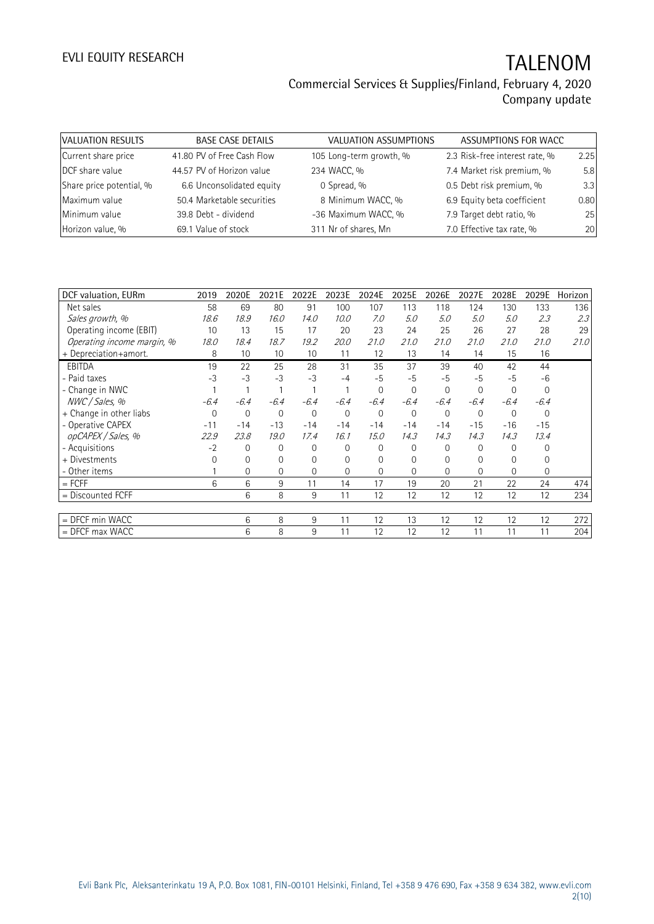| VALUATION RESULTS        | <b>BASE CASE DETAILS</b>   | VALUATION ASSUMPTIONS   | ASSUMPTIONS FOR WACC           |      |
|--------------------------|----------------------------|-------------------------|--------------------------------|------|
| Current share price      | 41.80 PV of Free Cash Flow | 105 Long-term growth, % | 2.3 Risk-free interest rate, % | 2.25 |
| DCF share value          | 44.57 PV of Horizon value  | 234 WACC, %             | 7.4 Market risk premium, %     | 5.8  |
| Share price potential, % | 6.6 Unconsolidated equity  | 0 Spread, %             | 0.5 Debt risk premium, %       | 3.3  |
| Maximum value            | 50.4 Marketable securities | 8 Minimum WACC, %       | 6.9 Equity beta coefficient    | 0.80 |
| Minimum value            | 39.8 Debt - dividend       | -36 Maximum WACC, %     | 7.9 Target debt ratio, %       | 25   |
| Horizon value, %         | 69.1 Value of stock        | 311 Nr of shares, Mn    | 7.0 Effective tax rate, %      | 20   |

| DCF valuation, EURm        | 2019     | 2020E       | 2021E  | 2022E       | 2023E          | 2024E    | 2025E       | 2026E        | 2027E    | 2028E       | 2029E  | Horizon |
|----------------------------|----------|-------------|--------|-------------|----------------|----------|-------------|--------------|----------|-------------|--------|---------|
| Net sales                  | 58       | 69          | 80     | 91          | 100            | 107      | 113         | 118          | 124      | 130         | 133    | 136     |
| Sales growth, %            | 18.6     | 18.9        | 16.0   | 14.0        | 10.0           | 7.0      | 5.0         | 5.0          | 5.0      | 5.0         | 2.3    | 2.3     |
| Operating income (EBIT)    | 10       | 13          | 15     | 17          | 20             | 23       | 24          | 25           | 26       | 27          | 28     | 29      |
| Operating income margin, % | 18.0     | 18.4        | 18.7   | 19.2        | <i>20.0</i>    | 21.0     | 21.0        | 21.0         | 21.0     | 21.0        | 21.0   | 21.0    |
| + Depreciation+amort.      | 8        | 10          | 10     | 10          | 11             | 12       | 13          | 14           | 14       | 15          | 16     |         |
| <b>EBITDA</b>              | 19       | 22          | 25     | 28          | 31             | 35       | 37          | 39           | 40       | 42          | 44     |         |
| - Paid taxes               | $-3$     | $-3$        | $-3$   | $-3$        | $-4$           | $-5$     | $-5$        | $-5$         | $-5$     | $-5$        | $-6$   |         |
| - Change in NWC            |          |             |        |             |                | $\Omega$ | $\mathbf 0$ | $\mathbf{0}$ | $\Omega$ | $\mathbf 0$ | 0      |         |
| NWC / Sales, %             | $-6.4$   | $-6.4$      | $-6.4$ | $-6.4$      | $-6.4$         | $-6.4$   | $-6.4$      | $-6.4$       | $-6.4$   | $-6.4$      | $-6.4$ |         |
| + Change in other liabs    | $\Omega$ | $\mathbf 0$ | 0      | $\mathbf 0$ | $\mathbf 0$    | 0        | $\mathbf 0$ | $\mathbf{0}$ | 0        | $\Omega$    | 0      |         |
| - Operative CAPEX          | $-11$    | $-14$       | $-13$  | $-14$       | $-14$          | $-14$    | $-14$       | $-14$        | $-15$    | $-16$       | $-15$  |         |
| opCAPEX / Sales, %         | 22.9     | 23.8        | 19.0   | 17.4        | 16.1           | 15.0     | 14.3        | 14.3         | 14.3     | 14.3        | 13.4   |         |
| - Acquisitions             | $-2$     | 0           | 0      | $\Omega$    | 0              | 0        | $\Omega$    | $\Omega$     | O        | $\Omega$    | 0      |         |
| + Divestments              | $\Omega$ | $\Omega$    | 0      | $\Omega$    | $\Omega$       | 0        | $\Omega$    | $\Omega$     | 0        | $\Omega$    | 0      |         |
| - Other items              |          | 0           | 0      | $\Omega$    | $\overline{0}$ | 0        | $\Omega$    | 0            | 0        | $\Omega$    | 0      |         |
| $=$ FCFF                   | 6        | 6           | 9      | 11          | 14             | 17       | 19          | 20           | 21       | 22          | 24     | 474     |
| $=$ Discounted FCFF        |          | 6           | 8      | 9           | 11             | 12       | 12          | 12           | 12       | 12          | 12     | 234     |
|                            |          |             |        |             |                |          |             |              |          |             |        |         |
| $=$ DFCF min WACC          |          | 6           | 8      | 9           | 11             | 12       | 13          | 12           | 12       | 12          | 12     | 272     |
| $=$ DFCF max WACC          |          | 6           | 8      | 9           | 11             | 12       | 12          | 12           | 11       | 11          | 11     | 204     |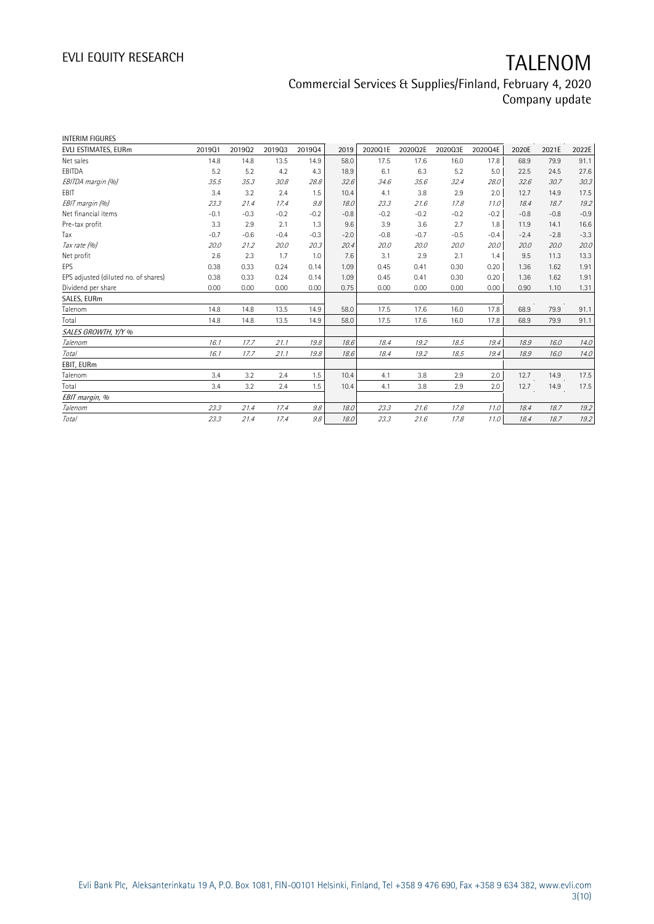| <b>INTERIM FIGURES</b>               |        |        |        |        |        |         |         |         |         |        |        |        |
|--------------------------------------|--------|--------|--------|--------|--------|---------|---------|---------|---------|--------|--------|--------|
| EVLI ESTIMATES, EURm                 | 201901 | 201902 | 201903 | 201904 | 2019   | 2020Q1E | 2020Q2E | 2020Q3E | 2020Q4E | 2020E  | 2021E  | 2022E  |
| Net sales                            | 14.8   | 14.8   | 13.5   | 14.9   | 58.0   | 17.5    | 17.6    | 16.0    | 17.8    | 68.9   | 79.9   | 91.1   |
| EBITDA                               | 5.2    | 5.2    | 4.2    | 4.3    | 18.9   | 6.1     | 6.3     | 5.2     | 5.0     | 22.5   | 24.5   | 27.6   |
| EBITDA margin (%)                    | 35.5   | 35.3   | 30.8   | 28.8   | 32.6   | 34.6    | 35.6    | 32.4    | 28.0    | 32.6   | 30.7   | 30.3   |
| EBIT                                 | 3.4    | 3.2    | 2.4    | 1.5    | 10.4   | 4.1     | 3.8     | 2.9     | 2.0     | 12.7   | 14.9   | 17.5   |
| EBIT margin (%)                      | 23.3   | 21.4   | 17.4   | 9.8    | 18.0   | 23.3    | 21.6    | 17.8    | 11.0    | 18.4   | 18.7   | 19.2   |
| Net financial items                  | $-0.1$ | $-0.3$ | $-0.2$ | $-0.2$ | $-0.8$ | $-0.2$  | $-0.2$  | $-0.2$  | $-0.2$  | $-0.8$ | $-0.8$ | $-0.9$ |
| Pre-tax profit                       | 3.3    | 2.9    | 2.1    | 1.3    | 9.6    | 3.9     | 3.6     | 2.7     | 1.8     | 11.9   | 14.1   | 16.6   |
| Tax                                  | $-0.7$ | $-0.6$ | $-0.4$ | $-0.3$ | $-2.0$ | $-0.8$  | $-0.7$  | $-0.5$  | $-0.4$  | $-2.4$ | $-2.8$ | $-3.3$ |
| Tax rate (%)                         | 20.0   | 21.2   | 20.0   | 20.3   | 20.4   | 20.0    | 20.0    | 20.0    | 20.0    | 20.0   | 20.0   | 20.0   |
| Net profit                           | 2.6    | 2.3    | 1.7    | 1.0    | 7.6    | 3.1     | 2.9     | 2.1     | 1.4     | 9.5    | 11.3   | 13.3   |
| EPS                                  | 0.38   | 0.33   | 0.24   | 0.14   | 1.09   | 0.45    | 0.41    | 0.30    | 0.20    | 1.36   | 1.62   | 1.91   |
| EPS adjusted (diluted no. of shares) | 0.38   | 0.33   | 0.24   | 0.14   | 1.09   | 0.45    | 0.41    | 0.30    | 0.20    | 1.36   | 1.62   | 1.91   |
| Dividend per share                   | 0.00   | 0.00   | 0.00   | 0.00   | 0.75   | 0.00    | 0.00    | 0.00    | 0.00    | 0.90   | 1.10   | 1.31   |
| SALES, EURm                          |        |        |        |        |        |         |         |         |         |        |        |        |
| Talenom                              | 14.8   | 14.8   | 13.5   | 14.9   | 58.0   | 17.5    | 17.6    | 16.0    | 17.8    | 68.9   | 79.9   | 91.1   |
| Total                                | 14.8   | 14.8   | 13.5   | 14.9   | 58.0   | 17.5    | 17.6    | 16.0    | 17.8    | 68.9   | 79.9   | 91.1   |
| <b>SALES GROWTH. Y/Y %</b>           |        |        |        |        |        |         |         |         |         |        |        |        |
| Talenom                              | 16.1   | 17.7   | 21.1   | 19.8   | 18.6   | 18.4    | 19.2    | 18.5    | 19.4    | 18.9   | 16.0   | 14.0   |
| Total                                | 16.1   | 17.7   | 21.1   | 19.8   | 18.6   | 18.4    | 19.2    | 18.5    | 19.4    | 18.9   | 16.0   | 14.0   |
| EBIT, EURm                           |        |        |        |        |        |         |         |         |         |        |        |        |
| Talenom                              | 3.4    | 3.2    | 2.4    | 1.5    | 10.4   | 4.1     | 3.8     | 2.9     | 2.0     | 12.7   | 14.9   | 17.5   |
| Total                                | 3.4    | 3.2    | 2.4    | 1.5    | 10.4   | 4.1     | 3.8     | 2.9     | 2.0     | 12.7   | 14.9   | 17.5   |
| EBIT margin, %                       |        |        |        |        |        |         |         |         |         |        |        |        |
| Talenom                              | 23.3   | 21.4   | 17.4   | 9.8    | 18.0   | 23.3    | 21.6    | 17.8    | 11.0    | 18.4   | 18.7   | 19.2   |
| Total                                | 23.3   | 21.4   | 17.4   | 9.8    | 18.0   | 23.3    | 21.6    | 17.8    | 11.0    | 18.4   | 18.7   | 19.2   |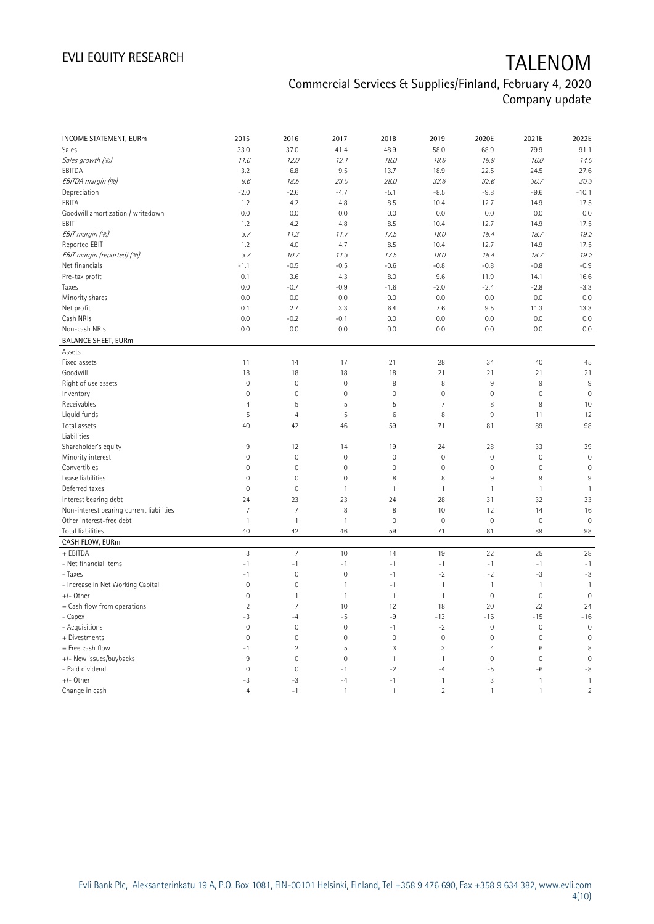| <b>INCOME STATEMENT, EURm</b>            | 2015           | 2016                | 2017                | 2018           | 2019           | 2020E               | 2021E        | 2022E               |
|------------------------------------------|----------------|---------------------|---------------------|----------------|----------------|---------------------|--------------|---------------------|
| Sales                                    | 33.0           | 37.0                | 41.4                | 48.9           | 58.0           | 68.9                | 79.9         | 91.1                |
| Sales growth (%)                         | 11.6           | 12.0                | 12.1                | 18.0           | 18.6           | 18.9                | 16.0         | 14.0                |
| EBITDA                                   | 3.2            | 6.8                 | 9.5                 | 13.7           | 18.9           | 22.5                | 24.5         | 27.6                |
| EBITDA margin (%)                        | 9.6            | 18.5                | 23.0                | 28.0           | 32.6           | 32.6                | 30.7         | 30.3                |
| Depreciation                             | $-2.0$         | $-2.6$              | $-4.7$              | $-5.1$         | $-8.5$         | $-9.8$              | $-9.6$       | $-10.1$             |
| EBITA                                    | 1.2            | 4.2                 | 4.8                 | 8.5            | 10.4           | 12.7                | 14.9         | 17.5                |
| Goodwill amortization / writedown        | 0.0            | 0.0                 | 0.0                 | 0.0            | 0.0            | 0.0                 | 0.0          | 0.0                 |
| EBIT                                     | 1.2            | 4.2                 | 4.8                 | 8.5            | 10.4           | 12.7                | 14.9         | 17.5                |
| EBIT margin (%)                          | 3.7            | 11.3                | 11.7                | 17.5           | 18.0           | 18.4                | 18.7         | 19.2                |
| Reported EBIT                            | 1.2            | 4.0                 | 4.7                 | 8.5            | 10.4           | 12.7                | 14.9         | 17.5                |
| EBIT margin (reported) (%)               | 3.7            | 10.7                | 11.3                | 17.5           | 18.0           | 18.4                | 18.7         | 19.2                |
| Net financials                           | $-1.1$         | $-0.5$              | $-0.5$              | $-0.6$         | $-0.8$         | $-0.8$              | $-0.8$       | $-0.9$              |
| Pre-tax profit                           | 0.1            | 3.6                 | 4.3                 | 8.0            | 9.6            | 11.9                | 14.1         | 16.6                |
| Taxes                                    | 0.0            | $-0.7$              | $-0.9$              | $-1.6$         | $-2.0$         | $-2.4$              | $-2.8$       | $-3.3$              |
| Minority shares                          | 0.0            | 0.0                 | 0.0                 | 0.0            | 0.0            | 0.0                 | 0.0          | 0.0                 |
| Net profit                               | 0.1            | 2.7                 | 3.3                 | 6.4            | 7.6            | 9.5                 | 11.3         | 13.3                |
| Cash NRIs                                | 0.0            | $-0.2$              | $-0.1$              | 0.0            | 0.0            | 0.0                 | 0.0          | 0.0                 |
| Non-cash NRIs                            | 0.0            | 0.0                 | 0.0                 | 0.0            | 0.0            | 0.0                 | 0.0          | 0.0                 |
| <b>BALANCE SHEET, EURm</b>               |                |                     |                     |                |                |                     |              |                     |
| Assets                                   |                |                     |                     |                |                |                     |              |                     |
| Fixed assets                             | 11             | 14                  | 17                  | 21             | 28             | 34                  | 40           | 45                  |
| Goodwill                                 | 18             | 18                  | 18                  | 18             | 21             | 21                  | 21           | 21                  |
| Right of use assets                      | $\mathbf 0$    | $\mathsf{O}\xspace$ | 0                   | 8              | 8              | 9                   | 9            | 9                   |
| Inventory                                | $\overline{0}$ | $\mathbf 0$         | 0                   | $\mathbf 0$    | $\mathbf 0$    | $\mathbf 0$         | $\mathbf 0$  | $\mathbf 0$         |
| Receivables                              | $\overline{4}$ | 5                   | 5                   | 5              | $\overline{7}$ | 8                   | 9            | 10                  |
| Liquid funds                             | 5              | $\overline{4}$      | 5                   | 6              | 8              | 9                   | 11           | 12                  |
| Total assets                             | 40             | 42                  | 46                  | 59             | 71             | 81                  | 89           | 98                  |
| Liabilities                              |                |                     |                     |                |                |                     |              |                     |
| Shareholder's equity                     | 9              | 12                  | 14                  | 19             | 24             | 28                  | 33           | 39                  |
| Minority interest                        | $\mathbf 0$    | $\mathbf 0$         | $\mathsf{O}\xspace$ | $\mathbf 0$    | $\mathbf 0$    | $\mathsf{O}\xspace$ | $\mathbf 0$  | $\mathbf 0$         |
| Convertibles                             | $\overline{0}$ | $\mathbf 0$         | $\mathbf 0$         | $\mathbf{0}$   | $\mathbf 0$    | $\mathbf 0$         | $\mathbf 0$  | $\mathsf{O}\xspace$ |
| Lease liabilities                        | $\mathbf 0$    | $\mathbf 0$         | $\mathsf{O}\xspace$ | 8              | 8              | 9                   | $9\,$        | $9\,$               |
| Deferred taxes                           | $\mathbf 0$    | $\mathbf 0$         | $\mathbf{1}$        | $\overline{1}$ | $\mathbf{1}$   | $\mathbf{1}$        | $\mathbf{1}$ | $\mathbf{1}$        |
| Interest bearing debt                    | 24             | 23                  | 23                  | 24             | 28             | 31                  | 32           | 33                  |
| Non-interest bearing current liabilities | 7              | 7                   | 8                   | 8              | 10             | 12                  | 14           | 16                  |
| Other interest-free debt                 | $\mathbf{1}$   | $\mathbf{1}$        | $\mathbf{1}$        | $\mathbf{0}$   | $\mathbf{0}$   | $\mathbf{0}$        | $\mathbf 0$  | $\mathbf 0$         |
| Total liabilities                        | 40             | 42                  | 46                  | 59             | 71             | 81                  | 89           | 98                  |
| CASH FLOW, EURm                          |                |                     |                     |                |                |                     |              |                     |
| + EBITDA                                 | 3              | $\overline{7}$      | 10                  | 14             | 19             | 22                  | 25           | 28                  |
| - Net financial items                    | $-1$           | $-1$                | $-1$                | $-1$           | $-1$           | $-1$                | $-1$         | $-1$                |
| - Taxes                                  | $-1$           | $\mathbf 0$         | $\mathsf{O}\xspace$ | $-1$           | $-2$           | $-2$                | $-3$         | $-3$                |
| - Increase in Net Working Capital        | $\mathbf 0$    | 0                   | $\mathbf{1}$        | $-1$           | 1              | $\mathbf{1}$        | $\mathbf{1}$ | $\mathbf{1}$        |
| $+/-$ Other                              | $\mathbf 0$    | $\mathbf{1}$        | $\mathbf{1}$        | $\overline{1}$ | $\mathbf{1}$   | $\mathsf{O}\xspace$ | $\mathbf 0$  | $\mathbf 0$         |
| = Cash flow from operations              | $\overline{2}$ | $\overline{7}$      | 10                  | 12             | 18             | 20                  | 22           | 24                  |
| - Capex                                  | $-3$           | $-4$                | $-5$                | -9             | $-13$          | $-16$               | $-15$        | $-16$               |
| - Acquisitions                           | $\mathbf 0$    | $\mathbf 0$         | $\mathsf{O}\xspace$ | $-1$           | $-2$           | $\mathbf 0$         | $\mathbf 0$  | $\mathbf 0$         |
| + Divestments                            | 0              | $\overline{0}$      | $\mathbf 0$         | $\mathbf{0}$   | $\overline{0}$ | $\mathbf 0$         | $\mathbf 0$  | $\mathbf{0}$        |
| = Free cash flow                         | $-1$           | $\sqrt{2}$          | 5                   | 3              | 3              | $\overline{4}$      | 6            | 8                   |
| +/- New issues/buybacks                  | 9              | $\overline{0}$      | $\mathbf 0$         | $\mathbf{1}$   | $\mathbf{1}$   | $\mathsf{O}\xspace$ | $\mathbf 0$  | $\mathbf 0$         |
| - Paid dividend                          | $\overline{0}$ | $\mathbf 0$         | $-1$                | $-2$           | $-4$           | -5                  | -6           | -8                  |
| $+/-$ Other                              | -3             | $-3$                | $-4$                | $-1$           | 1              | 3                   | $\mathbf{1}$ | $\mathbf{1}$        |
| Change in cash                           | $\overline{4}$ | $-1$                | 1                   | $\mathbf{1}$   | $\overline{2}$ | $\mathbf{1}$        | $\mathbf{1}$ | $\overline{2}$      |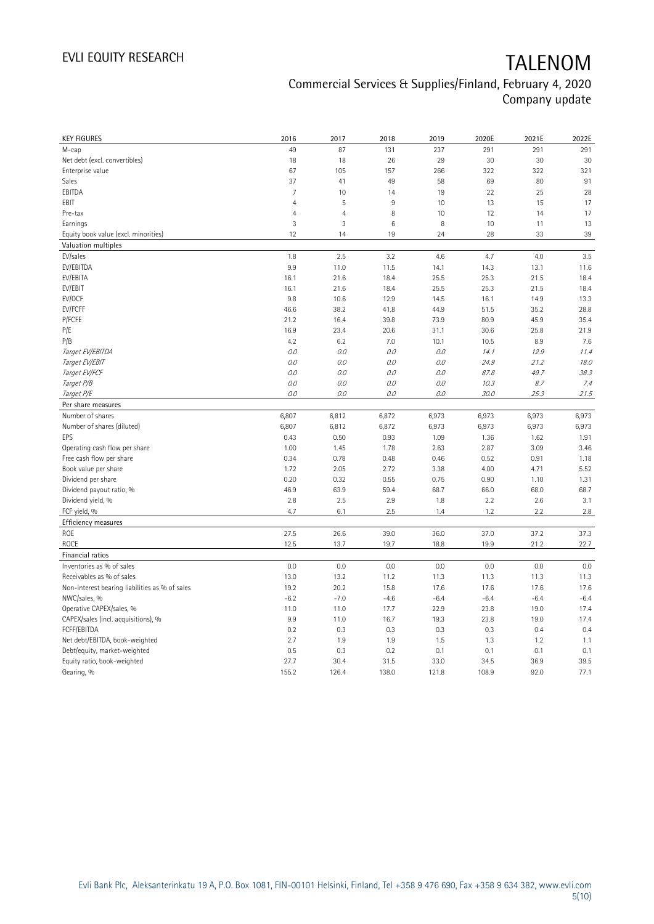| <b>KEY FIGURES</b>                             | 2016           | 2017           | 2018    | 2019   | 2020E  | 2021E  | 2022E  |
|------------------------------------------------|----------------|----------------|---------|--------|--------|--------|--------|
| M-cap                                          | 49             | 87             | 131     | 237    | 291    | 291    | 291    |
| Net debt (excl. convertibles)                  | 18             | 18             | 26      | 29     | 30     | 30     | 30     |
| Enterprise value                               | 67             | 105            | 157     | 266    | 322    | 322    | 321    |
| Sales                                          | 37             | 41             | 49      | 58     | 69     | 80     | 91     |
| EBITDA                                         | $\overline{7}$ | 10             | 14      | 19     | 22     | 25     | 28     |
| EBIT                                           | $\overline{4}$ | 5              | 9       | 10     | 13     | 15     | 17     |
| Pre-tax                                        | $\overline{4}$ | $\overline{4}$ | 8       | 10     | 12     | 14     | 17     |
| Earnings                                       | 3              | 3              | $\,6\,$ | 8      | 10     | 11     | 13     |
| Equity book value (excl. minorities)           | 12             | 14             | 19      | 24     | 28     | 33     | 39     |
| Valuation multiples                            |                |                |         |        |        |        |        |
| EV/sales                                       | 1.8            | 2.5            | 3.2     | 4.6    | 4.7    | 4.0    | 3.5    |
| EV/EBITDA                                      | 9.9            | 11.0           | 11.5    | 14.1   | 14.3   | 13.1   | 11.6   |
| EV/EBITA                                       | 16.1           | 21.6           | 18.4    | 25.5   | 25.3   | 21.5   | 18.4   |
| EV/EBIT                                        | 16.1           | 21.6           | 18.4    | 25.5   | 25.3   | 21.5   | 18.4   |
| EV/OCF                                         | 9.8            | 10.6           | 12.9    | 14.5   | 16.1   | 14.9   | 13.3   |
| EV/FCFF                                        | 46.6           | 38.2           | 41.8    | 44.9   | 51.5   | 35.2   | 28.8   |
| P/FCFE                                         | 21.2           | 16.4           | 39.8    | 73.9   | 80.9   | 45.9   | 35.4   |
| P/E                                            | 16.9           | 23.4           | 20.6    | 31.1   | 30.6   | 25.8   | 21.9   |
| P/B                                            | 4.2            | 6.2            | 7.0     | 10.1   | 10.5   | 8.9    | 7.6    |
| Target EV/EBITDA                               | 0.0            | 0.0            | 0.0     | 0.0    | 14.1   | 12.9   | 11.4   |
| Target EV/EBIT                                 | 0.0            | 0.0            | 0.0     | 0.0    | 24.9   | 21.2   | 18.0   |
| Target EV/FCF                                  | 0.0            | 0.0            | 0.0     | 0.0    | 87.8   | 49.7   | 38.3   |
| Target P/B                                     | 0.0            | 0.0            | 0.0     | 0.0    | 10.3   | 8.7    | 7.4    |
| Target P/E                                     | 0.0            | 0.0            | 0.0     | $O.O$  | 30.0   | 25.3   | 21.5   |
| Per share measures                             |                |                |         |        |        |        |        |
| Number of shares                               | 6,807          | 6,812          | 6,872   | 6,973  | 6,973  | 6,973  | 6,973  |
| Number of shares (diluted)                     | 6,807          | 6,812          | 6,872   | 6,973  | 6,973  | 6,973  | 6,973  |
| EPS                                            | 0.43           | 0.50           | 0.93    | 1.09   | 1.36   | 1.62   | 1.91   |
| Operating cash flow per share                  | 1.00           | 1.45           | 1.78    | 2.63   | 2.87   | 3.09   | 3.46   |
| Free cash flow per share                       | 0.34           | 0.78           | 0.48    | 0.46   | 0.52   | 0.91   | 1.18   |
| Book value per share                           | 1.72           | 2.05           | 2.72    | 3.38   | 4.00   | 4.71   | 5.52   |
| Dividend per share                             | 0.20           | 0.32           | 0.55    | 0.75   | 0.90   | 1.10   | 1.31   |
| Dividend payout ratio, %                       | 46.9           | 63.9           | 59.4    | 68.7   | 66.0   | 68.0   | 68.7   |
| Dividend yield, %                              | 2.8            | 2.5            | 2.9     | 1.8    | 2.2    | 2.6    | 3.1    |
| FCF yield, %                                   | 4.7            | 6.1            | 2.5     | 1.4    | 1.2    | 2.2    | 2.8    |
| Efficiency measures                            |                |                |         |        |        |        |        |
| ROE                                            | 27.5           | 26.6           | 39.0    | 36.0   | 37.0   | 37.2   | 37.3   |
| <b>ROCE</b>                                    | 12.5           | 13.7           | 19.7    | 18.8   | 19.9   | 21.2   | 22.7   |
| Financial ratios                               |                |                |         |        |        |        |        |
| Inventories as % of sales                      | 0.0            | 0.0            | 0.0     | 0.0    | 0.0    | 0.0    | 0.0    |
| Receivables as % of sales                      | 13.0           | 13.2           | 11.2    | 11.3   | 11.3   | 11.3   | 11.3   |
| Non-interest bearing liabilities as % of sales | 19.2           | 20.2           | 15.8    | 17.6   | 17.6   | 17.6   | 17.6   |
| NWC/sales, %                                   | $-6.2$         | $-7.0$         | $-4.6$  | $-6.4$ | $-6.4$ | $-6.4$ | $-6.4$ |
| Operative CAPEX/sales, %                       | 11.0           | 11.0           | 17.7    | 22.9   | 23.8   | 19.0   | 17.4   |
| CAPEX/sales (incl. acquisitions), %            | 9.9            | 11.0           | 16.7    | 19.3   | 23.8   | 19.0   | 17.4   |
| FCFF/EBITDA                                    | 0.2            | 0.3            | 0.3     | 0.3    | 0.3    | 0.4    | 0.4    |
| Net debt/EBITDA, book-weighted                 | 2.7            | 1.9            | 1.9     | 1.5    | 1.3    | 1.2    | 1.1    |
| Debt/equity, market-weighted                   | 0.5            | 0.3            | 0.2     | 0.1    | 0.1    | 0.1    | 0.1    |
| Equity ratio, book-weighted                    | 27.7           | 30.4           | 31.5    | 33.0   | 34.5   | 36.9   | 39.5   |
| Gearing, %                                     | 155.2          | 126.4          | 138.0   | 121.8  | 108.9  | 92.0   | 77.1   |
|                                                |                |                |         |        |        |        |        |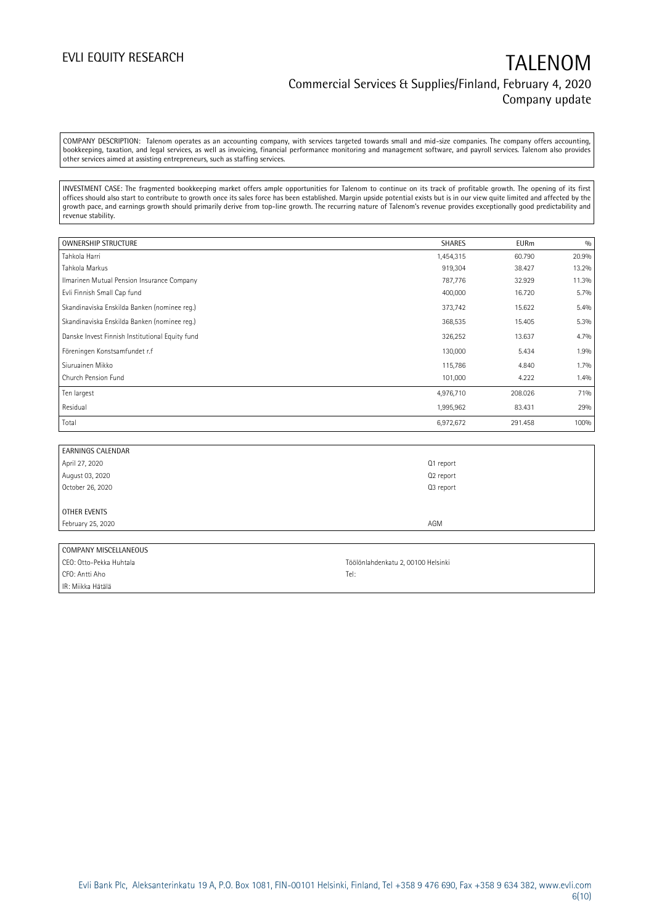COMPANY DESCRIPTION: Talenom operates as an accounting company, with services targeted towards small and mid-size companies. The company offers accounting, bookkeeping, taxation, and legal services, as well as invoicing, financial performance monitoring and management software, and payroll services. Talenom also provides other services aimed at assisting entrepreneurs, such as staffing services.

INVESTMENT CASE: The fragmented bookkeeping market offers ample opportunities for Talenom to continue on its track of profitable growth. The opening of its first offices should also start to contribute to growth once its sales force has been established. Margin upside potential exists but is in our view quite limited and affected by the growth pace, and earnings growth should primarily derive from top-line growth. The recurring nature of Talenom's revenue provides exceptionally good predictability and revenue stability.

| OWNERSHIP STRUCTURE                             | <b>SHARES</b> | <b>EURm</b> | 0/0   |
|-------------------------------------------------|---------------|-------------|-------|
| Tahkola Harri                                   | 1,454,315     | 60.790      | 20.9% |
| Tahkola Markus                                  | 919,304       | 38.427      | 13.2% |
| Ilmarinen Mutual Pension Insurance Company      | 787,776       | 32.929      | 11.3% |
| Evli Finnish Small Cap fund                     | 400,000       | 16.720      | 5.7%  |
| Skandinaviska Enskilda Banken (nominee reg.)    | 373,742       | 15.622      | 5.4%  |
| Skandinaviska Enskilda Banken (nominee reg.)    | 368,535       | 15.405      | 5.3%  |
| Danske Invest Finnish Institutional Equity fund | 326,252       | 13.637      | 4.7%  |
| Föreningen Konstsamfundet r.f                   | 130,000       | 5.434       | 1.9%  |
| Siuruainen Mikko                                | 115,786       | 4.840       | 1.7%  |
| Church Pension Fund                             | 101,000       | 4.222       | 1.4%  |
| Ten largest                                     | 4,976,710     | 208.026     | 71%   |
| Residual                                        | 1,995,962     | 83.431      | 29%   |
| Total                                           | 6,972,672     | 291.458     | 100%  |

| <b>EARNINGS CALENDAR</b> |           |
|--------------------------|-----------|
| April 27, 2020           | Q1 report |
| August 03, 2020          | Q2 report |
| October 26, 2020         | Q3 report |
|                          |           |
| <b>OTHER EVENTS</b>      |           |
| February 25, 2020        | AGM       |
|                          |           |

| COMPANY MISCELLANEOUS   |                                    |
|-------------------------|------------------------------------|
| CEO: Otto-Pekka Huhtala | Töölönlahdenkatu 2, 00100 Helsinki |
| CFO: Antti Aho          | Tel:                               |
| IR: Miikka Hätälä       |                                    |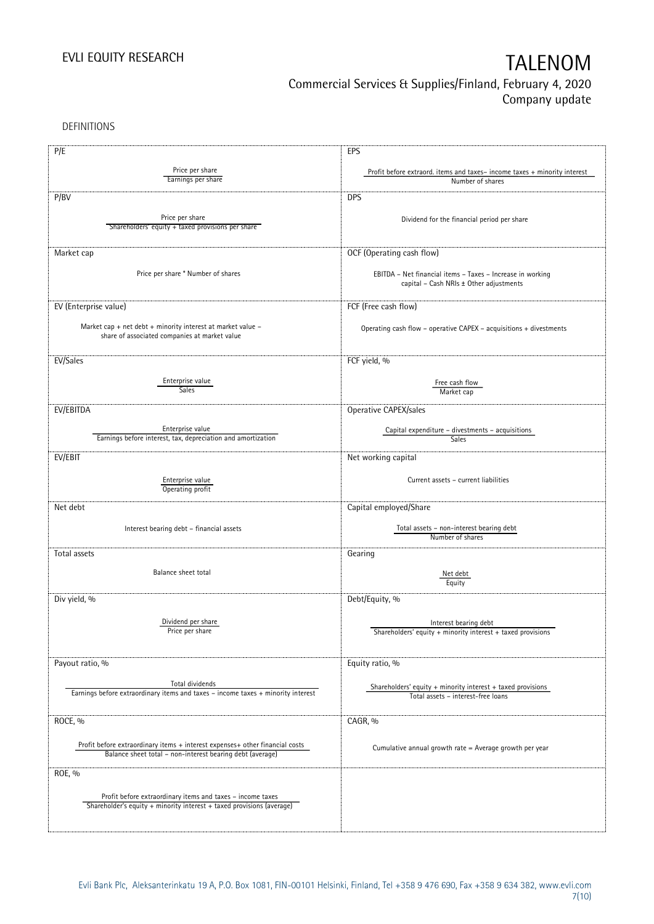DEFINITIONS

| P/E                                                                              | EPS                                                                                                   |
|----------------------------------------------------------------------------------|-------------------------------------------------------------------------------------------------------|
|                                                                                  |                                                                                                       |
| Price per share                                                                  | Profit before extraord. items and taxes-income taxes + minority interest                              |
| Earnings per share                                                               | Number of shares                                                                                      |
| P/BV                                                                             | <b>DPS</b>                                                                                            |
|                                                                                  |                                                                                                       |
| Price per share                                                                  | Dividend for the financial period per share                                                           |
| Shareholders' equity + taxed provisions per share                                |                                                                                                       |
|                                                                                  |                                                                                                       |
| Market cap                                                                       | OCF (Operating cash flow)                                                                             |
|                                                                                  |                                                                                                       |
| Price per share * Number of shares                                               | EBITDA - Net financial items - Taxes - Increase in working                                            |
|                                                                                  | capital - Cash NRIs ± Other adjustments                                                               |
|                                                                                  |                                                                                                       |
| EV (Enterprise value)                                                            | FCF (Free cash flow)                                                                                  |
|                                                                                  |                                                                                                       |
| Market cap + net debt + minority interest at market value -                      | Operating cash flow - operative CAPEX - acquisitions + divestments                                    |
| share of associated companies at market value                                    |                                                                                                       |
|                                                                                  |                                                                                                       |
|                                                                                  |                                                                                                       |
| EV/Sales                                                                         | FCF yield, %                                                                                          |
|                                                                                  |                                                                                                       |
| Enterprise value<br><b>Sales</b>                                                 | Free cash flow                                                                                        |
|                                                                                  | Market cap                                                                                            |
| EV/EBITDA                                                                        | Operative CAPEX/sales                                                                                 |
|                                                                                  |                                                                                                       |
| Enterprise value                                                                 | Capital expenditure - divestments - acquisitions                                                      |
| Earnings before interest, tax, depreciation and amortization                     | Sales                                                                                                 |
|                                                                                  |                                                                                                       |
| EV/EBIT                                                                          | Net working capital                                                                                   |
|                                                                                  |                                                                                                       |
| Enterprise value                                                                 | Current assets - current liabilities                                                                  |
| Operating profit                                                                 |                                                                                                       |
|                                                                                  |                                                                                                       |
| Net debt                                                                         | Capital employed/Share                                                                                |
|                                                                                  |                                                                                                       |
| Interest bearing debt - financial assets                                         | Total assets - non-interest bearing debt<br>Number of shares                                          |
|                                                                                  |                                                                                                       |
| Total assets                                                                     | Gearing                                                                                               |
|                                                                                  |                                                                                                       |
| Balance sheet total                                                              | Net debt                                                                                              |
|                                                                                  | Equity                                                                                                |
| Div yield, %                                                                     | Debt/Equity, %                                                                                        |
|                                                                                  |                                                                                                       |
| Dividend per share                                                               |                                                                                                       |
| Price per share                                                                  | Interest bearing debt<br>Shareholders' equity $+$ minority interest $+$ taxed provisions              |
|                                                                                  |                                                                                                       |
|                                                                                  |                                                                                                       |
| Payout ratio, %                                                                  | Equity ratio, %                                                                                       |
|                                                                                  |                                                                                                       |
| Total dividends                                                                  |                                                                                                       |
| Earnings before extraordinary items and taxes - income taxes + minority interest | Shareholders' equity $+$ minority interest $+$ taxed provisions<br>Total assets - interest-free loans |
|                                                                                  |                                                                                                       |
|                                                                                  |                                                                                                       |
| ROCE, %                                                                          | CAGR, %                                                                                               |
|                                                                                  |                                                                                                       |
| Profit before extraordinary items + interest expenses+ other financial costs     | Cumulative annual growth rate = Average growth per year                                               |
| Balance sheet total - non-interest bearing debt (average)                        |                                                                                                       |
|                                                                                  |                                                                                                       |
| ROE, %                                                                           |                                                                                                       |
|                                                                                  |                                                                                                       |
| Profit before extraordinary items and taxes - income taxes                       |                                                                                                       |
| Shareholder's equity + minority interest + taxed provisions (average)            |                                                                                                       |
|                                                                                  |                                                                                                       |
|                                                                                  |                                                                                                       |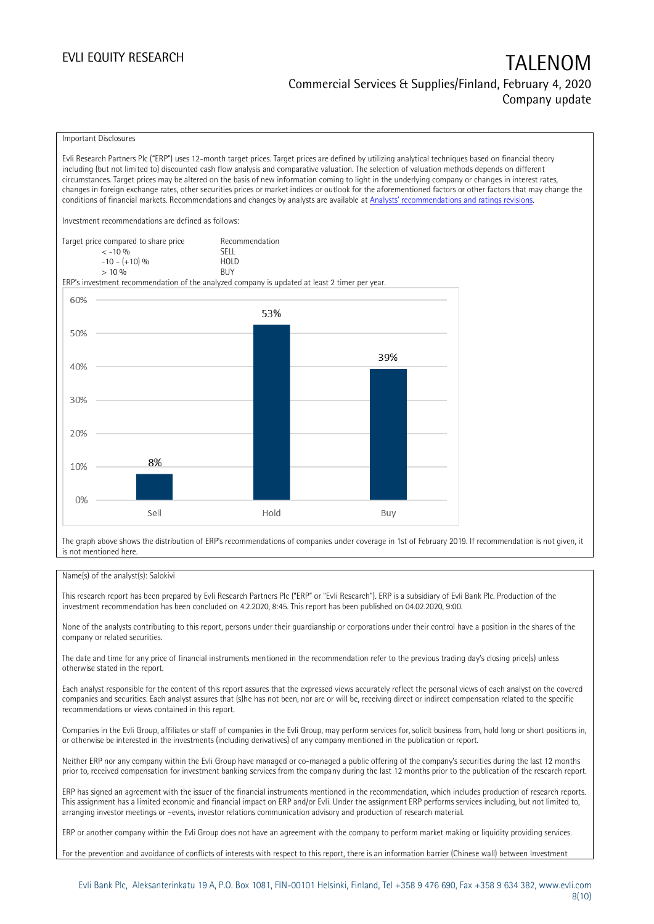### Important Disclosures

Evli Research Partners Plc ("ERP") uses 12-month target prices. Target prices are defined by utilizing analytical techniques based on financial theory including (but not limited to) discounted cash flow analysis and comparative valuation. The selection of valuation methods depends on different circumstances. Target prices may be altered on the basis of new information coming to light in the underlying company or changes in interest rates, changes in foreign exchange rates, other securities prices or market indices or outlook for the aforementioned factors or other factors that may change the conditions of financial markets. Recommendations and changes by analysts are available at [Analysts' recommendations and ratings revisions](https://research.evli.com/JasperAllModels.action?authParam=key;461&authParam=x;G3rNagWrtf7K&authType=3). Investment recommendations are defined as follows: Target price compared to share price Recommendation < -10 % SELL  $-10 - (+10) \%$  HOL<br>  $> 10 \%$  BUY  $> 10\%$ ERP's investment recommendation of the analyzed company is updated at least 2 timer per year. 60% 53% 50% 39% 40% 30% 20% 8% 10%  $0%$ Hold Sell Buy

The graph above shows the distribution of ERP's recommendations of companies under coverage in 1st of February 2019. If recommendation is not given, it is not mentioned here.

### Name(s) of the analyst(s): Salokivi

This research report has been prepared by Evli Research Partners Plc ("ERP" or "Evli Research"). ERP is a subsidiary of Evli Bank Plc. Production of the investment recommendation has been concluded on 4.2.2020, 8:45. This report has been published on 04.02.2020, 9:00.

None of the analysts contributing to this report, persons under their guardianship or corporations under their control have a position in the shares of the company or related securities.

The date and time for any price of financial instruments mentioned in the recommendation refer to the previous trading day's closing price(s) unless otherwise stated in the report.

Each analyst responsible for the content of this report assures that the expressed views accurately reflect the personal views of each analyst on the covered companies and securities. Each analyst assures that (s)he has not been, nor are or will be, receiving direct or indirect compensation related to the specific recommendations or views contained in this report.

Companies in the Evli Group, affiliates or staff of companies in the Evli Group, may perform services for, solicit business from, hold long or short positions in, or otherwise be interested in the investments (including derivatives) of any company mentioned in the publication or report.

Neither ERP nor any company within the Evli Group have managed or co-managed a public offering of the company's securities during the last 12 months prior to, received compensation for investment banking services from the company during the last 12 months prior to the publication of the research report.

ERP has signed an agreement with the issuer of the financial instruments mentioned in the recommendation, which includes production of research reports. This assignment has a limited economic and financial impact on ERP and/or Evli. Under the assignment ERP performs services including, but not limited to, arranging investor meetings or –events, investor relations communication advisory and production of research material.

ERP or another company within the Evli Group does not have an agreement with the company to perform market making or liquidity providing services.

For the prevention and avoidance of conflicts of interests with respect to this report, there is an information barrier (Chinese wall) between Investment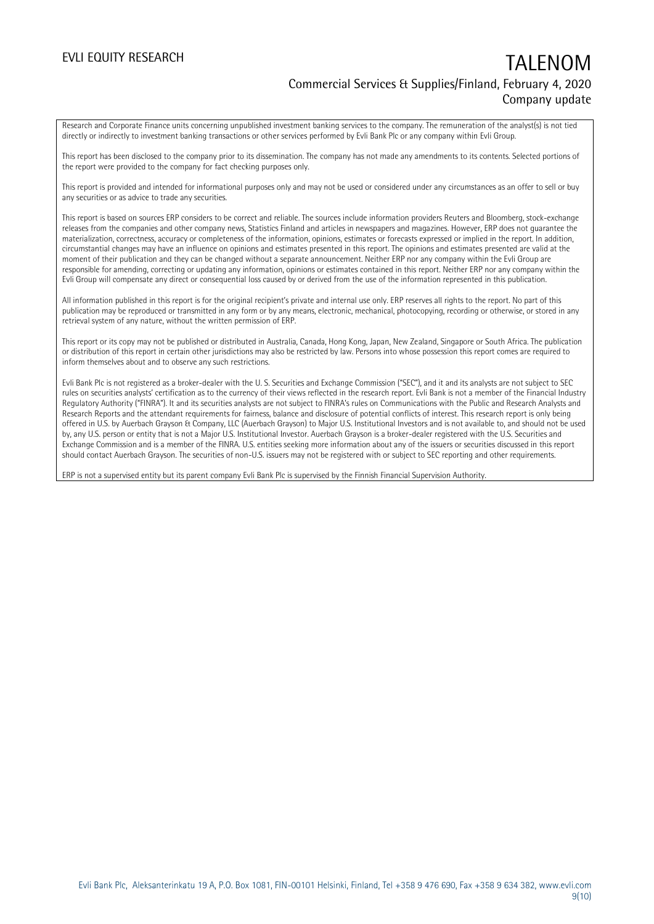Research and Corporate Finance units concerning unpublished investment banking services to the company. The remuneration of the analyst(s) is not tied directly or indirectly to investment banking transactions or other services performed by Evli Bank Plc or any company within Evli Group.

This report has been disclosed to the company prior to its dissemination. The company has not made any amendments to its contents. Selected portions of the report were provided to the company for fact checking purposes only.

This report is provided and intended for informational purposes only and may not be used or considered under any circumstances as an offer to sell or buy any securities or as advice to trade any securities.

This report is based on sources ERP considers to be correct and reliable. The sources include information providers Reuters and Bloomberg, stock-exchange releases from the companies and other company news, Statistics Finland and articles in newspapers and magazines. However, ERP does not guarantee the materialization, correctness, accuracy or completeness of the information, opinions, estimates or forecasts expressed or implied in the report. In addition, circumstantial changes may have an influence on opinions and estimates presented in this report. The opinions and estimates presented are valid at the moment of their publication and they can be changed without a separate announcement. Neither ERP nor any company within the Evli Group are responsible for amending, correcting or updating any information, opinions or estimates contained in this report. Neither ERP nor any company within the Evli Group will compensate any direct or consequential loss caused by or derived from the use of the information represented in this publication.

All information published in this report is for the original recipient's private and internal use only. ERP reserves all rights to the report. No part of this publication may be reproduced or transmitted in any form or by any means, electronic, mechanical, photocopying, recording or otherwise, or stored in any retrieval system of any nature, without the written permission of ERP.

This report or its copy may not be published or distributed in Australia, Canada, Hong Kong, Japan, New Zealand, Singapore or South Africa. The publication or distribution of this report in certain other jurisdictions may also be restricted by law. Persons into whose possession this report comes are required to inform themselves about and to observe any such restrictions.

Evli Bank Plc is not registered as a broker-dealer with the U. S. Securities and Exchange Commission ("SEC"), and it and its analysts are not subject to SEC rules on securities analysts' certification as to the currency of their views reflected in the research report. Evli Bank is not a member of the Financial Industry Regulatory Authority ("FINRA"). It and its securities analysts are not subject to FINRA's rules on Communications with the Public and Research Analysts and Research Reports and the attendant requirements for fairness, balance and disclosure of potential conflicts of interest. This research report is only being offered in U.S. by Auerbach Grayson & Company, LLC (Auerbach Grayson) to Major U.S. Institutional Investors and is not available to, and should not be used by, any U.S. person or entity that is not a Major U.S. Institutional Investor. Auerbach Grayson is a broker-dealer registered with the U.S. Securities and Exchange Commission and is a member of the FINRA. U.S. entities seeking more information about any of the issuers or securities discussed in this report should contact Auerbach Grayson. The securities of non-U.S. issuers may not be registered with or subject to SEC reporting and other requirements.

ERP is not a supervised entity but its parent company Evli Bank Plc is supervised by the Finnish Financial Supervision Authority.